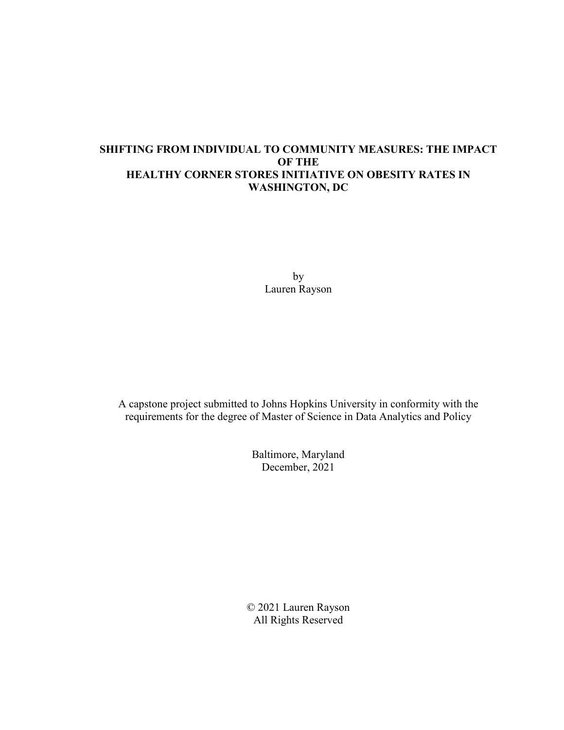# **SHIFTING FROM INDIVIDUAL TO COMMUNITY MEASURES: THE IMPACT OF THE HEALTHY CORNER STORES INITIATIVE ON OBESITY RATES IN WASHINGTON, DC**

by Lauren Rayson

A capstone project submitted to Johns Hopkins University in conformity with the requirements for the degree of Master of Science in Data Analytics and Policy

> Baltimore, Maryland December, 2021

© 2021 Lauren Rayson All Rights Reserved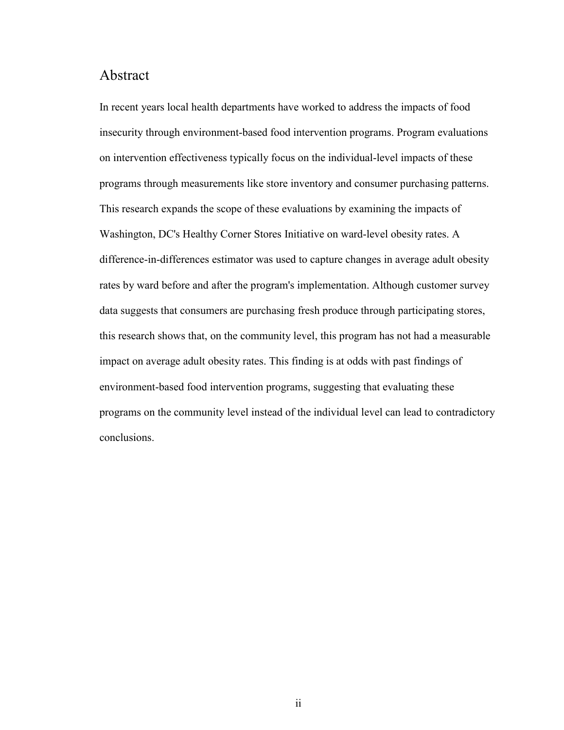# Abstract

In recent years local health departments have worked to address the impacts of food insecurity through environment-based food intervention programs. Program evaluations on intervention effectiveness typically focus on the individual-level impacts of these programs through measurements like store inventory and consumer purchasing patterns. This research expands the scope of these evaluations by examining the impacts of Washington, DC's Healthy Corner Stores Initiative on ward-level obesity rates. A difference-in-differences estimator was used to capture changes in average adult obesity rates by ward before and after the program's implementation. Although customer survey data suggests that consumers are purchasing fresh produce through participating stores, this research shows that, on the community level, this program has not had a measurable impact on average adult obesity rates. This finding is at odds with past findings of environment-based food intervention programs, suggesting that evaluating these programs on the community level instead of the individual level can lead to contradictory conclusions.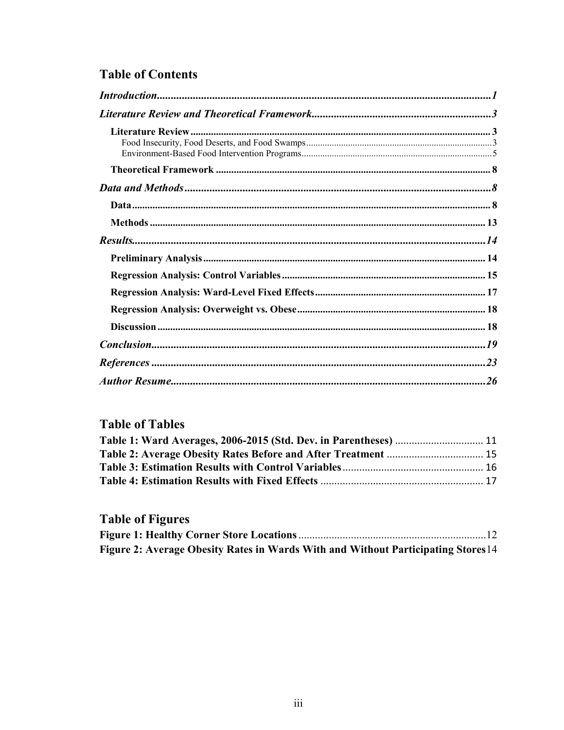# **Table of Contents**

| $References \dots 23$ |  |
|-----------------------|--|
|                       |  |

# **Table of Tables**

# **Table of Figures**

| Figure 2: Average Obesity Rates in Wards With and Without Participating Stores 14 |  |
|-----------------------------------------------------------------------------------|--|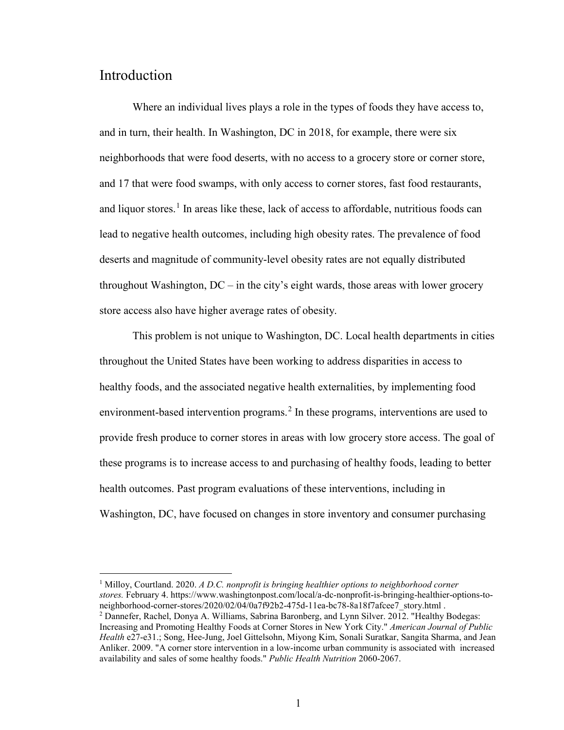# <span id="page-3-0"></span>Introduction

 $\overline{a}$ 

Where an individual lives plays a role in the types of foods they have access to, and in turn, their health. In Washington, DC in 2018, for example, there were six neighborhoods that were food deserts, with no access to a grocery store or corner store, and 17 that were food swamps, with only access to corner stores, fast food restaurants, and liquor stores.<sup>[1](#page-3-1)</sup> In areas like these, lack of access to affordable, nutritious foods can lead to negative health outcomes, including high obesity rates. The prevalence of food deserts and magnitude of community-level obesity rates are not equally distributed throughout Washington,  $DC - in$  the city's eight wards, those areas with lower grocery store access also have higher average rates of obesity.

This problem is not unique to Washington, DC. Local health departments in cities throughout the United States have been working to address disparities in access to healthy foods, and the associated negative health externalities, by implementing food environment-based intervention programs.<sup>[2](#page-3-2)</sup> In these programs, interventions are used to provide fresh produce to corner stores in areas with low grocery store access. The goal of these programs is to increase access to and purchasing of healthy foods, leading to better health outcomes. Past program evaluations of these interventions, including in Washington, DC, have focused on changes in store inventory and consumer purchasing

<span id="page-3-1"></span><sup>1</sup> Milloy, Courtland. 2020. *A D.C. nonprofit is bringing healthier options to neighborhood corner stores.* February 4. https://www.washingtonpost.com/local/a-dc-nonprofit-is-bringing-healthier-options-toneighborhood-corner-stores/2020/02/04/0a7f92b2-475d-11ea-bc78-8a18f7afcee7\_story.html .

<span id="page-3-2"></span><sup>2</sup> Dannefer, Rachel, Donya A. Williams, Sabrina Baronberg, and Lynn Silver. 2012. "Healthy Bodegas: Increasing and Promoting Healthy Foods at Corner Stores in New York City." *American Journal of Public Health* e27-e31.; Song, Hee-Jung, Joel Gittelsohn, Miyong Kim, Sonali Suratkar, Sangita Sharma, and Jean Anliker. 2009. "A corner store intervention in a low-income urban community is associated with increased availability and sales of some healthy foods." *Public Health Nutrition* 2060-2067.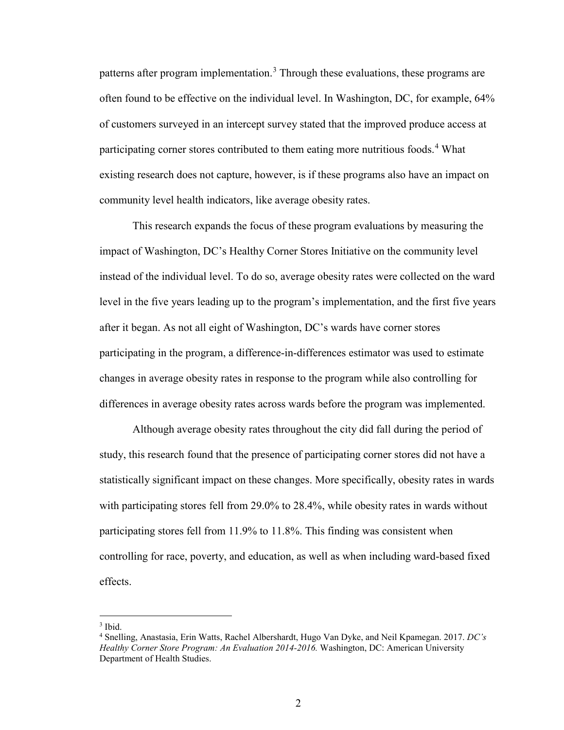patterns after program implementation.<sup>[3](#page-4-0)</sup> Through these evaluations, these programs are often found to be effective on the individual level. In Washington, DC, for example, 64% of customers surveyed in an intercept survey stated that the improved produce access at participating corner stores contributed to them eating more nutritious foods.<sup>[4](#page-4-1)</sup> What existing research does not capture, however, is if these programs also have an impact on community level health indicators, like average obesity rates.

This research expands the focus of these program evaluations by measuring the impact of Washington, DC's Healthy Corner Stores Initiative on the community level instead of the individual level. To do so, average obesity rates were collected on the ward level in the five years leading up to the program's implementation, and the first five years after it began. As not all eight of Washington, DC's wards have corner stores participating in the program, a difference-in-differences estimator was used to estimate changes in average obesity rates in response to the program while also controlling for differences in average obesity rates across wards before the program was implemented.

Although average obesity rates throughout the city did fall during the period of study, this research found that the presence of participating corner stores did not have a statistically significant impact on these changes. More specifically, obesity rates in wards with participating stores fell from 29.0% to 28.4%, while obesity rates in wards without participating stores fell from 11.9% to 11.8%. This finding was consistent when controlling for race, poverty, and education, as well as when including ward-based fixed effects.

<span id="page-4-0"></span> $3$  Ibid.

<span id="page-4-1"></span><sup>4</sup> Snelling, Anastasia, Erin Watts, Rachel Albershardt, Hugo Van Dyke, and Neil Kpamegan. 2017. *DC's Healthy Corner Store Program: An Evaluation 2014-2016.* Washington, DC: American University Department of Health Studies.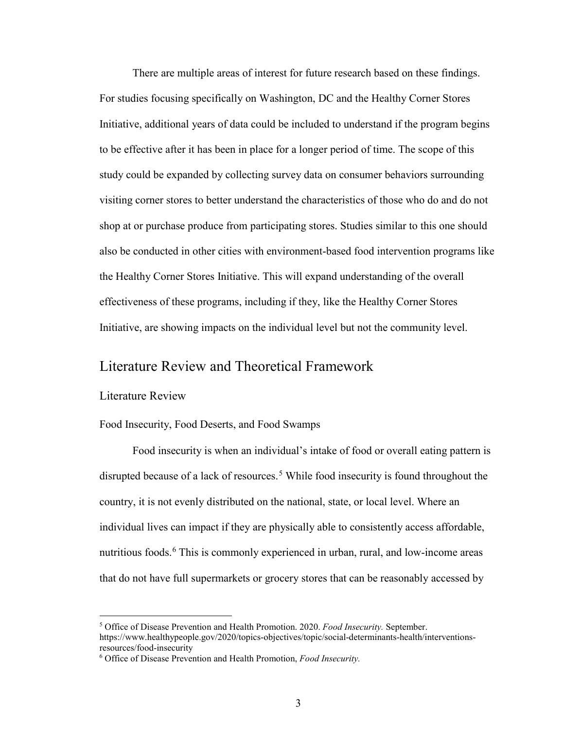There are multiple areas of interest for future research based on these findings. For studies focusing specifically on Washington, DC and the Healthy Corner Stores Initiative, additional years of data could be included to understand if the program begins to be effective after it has been in place for a longer period of time. The scope of this study could be expanded by collecting survey data on consumer behaviors surrounding visiting corner stores to better understand the characteristics of those who do and do not shop at or purchase produce from participating stores. Studies similar to this one should also be conducted in other cities with environment-based food intervention programs like the Healthy Corner Stores Initiative. This will expand understanding of the overall effectiveness of these programs, including if they, like the Healthy Corner Stores Initiative, are showing impacts on the individual level but not the community level.

# <span id="page-5-0"></span>Literature Review and Theoretical Framework

### <span id="page-5-1"></span>Literature Review

 $\overline{a}$ 

#### <span id="page-5-2"></span>Food Insecurity, Food Deserts, and Food Swamps

Food insecurity is when an individual's intake of food or overall eating pattern is disrupted because of a lack of resources.<sup>[5](#page-5-3)</sup> While food insecurity is found throughout the country, it is not evenly distributed on the national, state, or local level. Where an individual lives can impact if they are physically able to consistently access affordable, nutritious foods.<sup>[6](#page-5-4)</sup> This is commonly experienced in urban, rural, and low-income areas that do not have full supermarkets or grocery stores that can be reasonably accessed by

<span id="page-5-3"></span><sup>5</sup> Office of Disease Prevention and Health Promotion. 2020. *Food Insecurity.* September. https://www.healthypeople.gov/2020/topics-objectives/topic/social-determinants-health/interventionsresources/food-insecurity

<span id="page-5-4"></span><sup>6</sup> Office of Disease Prevention and Health Promotion, *Food Insecurity.*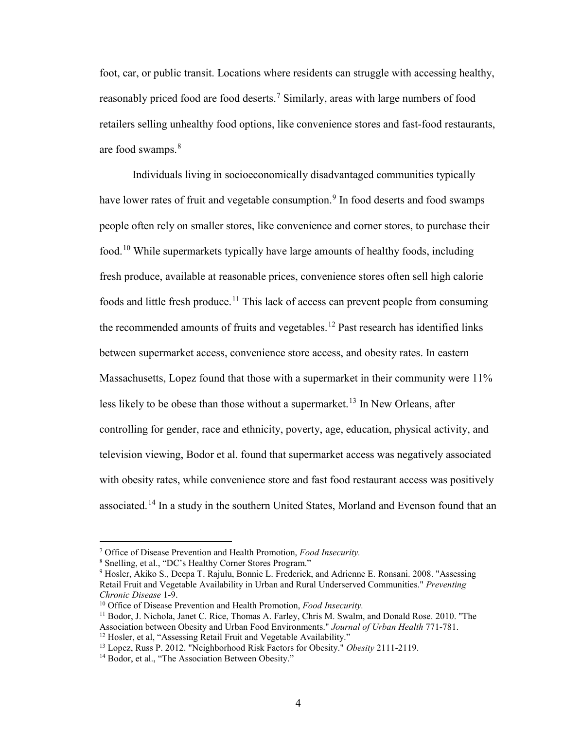foot, car, or public transit. Locations where residents can struggle with accessing healthy, reasonably priced food are food deserts.<sup>[7](#page-6-0)</sup> Similarly, areas with large numbers of food retailers selling unhealthy food options, like convenience stores and fast-food restaurants, are food swamps.<sup>[8](#page-6-1)</sup>

 Individuals living in socioeconomically disadvantaged communities typically have lower rates of fruit and vegetable consumption.<sup>[9](#page-6-2)</sup> In food deserts and food swamps people often rely on smaller stores, like convenience and corner stores, to purchase their food.[10](#page-6-3) While supermarkets typically have large amounts of healthy foods, including fresh produce, available at reasonable prices, convenience stores often sell high calorie foods and little fresh produce.<sup>[11](#page-6-4)</sup> This lack of access can prevent people from consuming the recommended amounts of fruits and vegetables.<sup>[12](#page-6-5)</sup> Past research has identified links between supermarket access, convenience store access, and obesity rates. In eastern Massachusetts, Lopez found that those with a supermarket in their community were 11% less likely to be obese than those without a supermarket.<sup>[13](#page-6-6)</sup> In New Orleans, after controlling for gender, race and ethnicity, poverty, age, education, physical activity, and television viewing, Bodor et al. found that supermarket access was negatively associated with obesity rates, while convenience store and fast food restaurant access was positively associated.<sup>14</sup> In a study in the southern United States, Morland and Evenson found that an

<span id="page-6-0"></span><sup>7</sup> Office of Disease Prevention and Health Promotion, *Food Insecurity.*

<sup>8</sup> Snelling, et al., "DC's Healthy Corner Stores Program."

<span id="page-6-2"></span><span id="page-6-1"></span><sup>&</sup>lt;sup>9</sup> Hosler, Akiko S., Deepa T. Rajulu, Bonnie L. Frederick, and Adrienne E. Ronsani. 2008. "Assessing Retail Fruit and Vegetable Availability in Urban and Rural Underserved Communities." *Preventing Chronic Disease* 1-9.

<span id="page-6-3"></span><sup>10</sup> Office of Disease Prevention and Health Promotion, *Food Insecurity.* 

<span id="page-6-4"></span><sup>&</sup>lt;sup>11</sup> Bodor, J. Nichola, Janet C. Rice, Thomas A. Farley, Chris M. Swalm, and Donald Rose. 2010. "The Association between Obesity and Urban Food Environments." *Journal of Urban Health* 771-781. <sup>12</sup> Hosler, et al, "Assessing Retail Fruit and Vegetable Availability."

<span id="page-6-6"></span><span id="page-6-5"></span><sup>13</sup> Lopez, Russ P. 2012. "Neighborhood Risk Factors for Obesity." *Obesity* 2111-2119.

<span id="page-6-7"></span><sup>&</sup>lt;sup>14</sup> Bodor, et al., "The Association Between Obesity."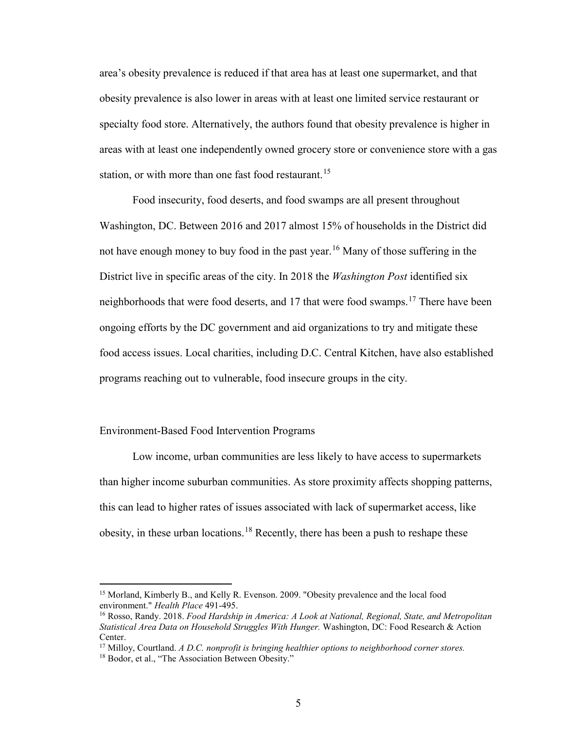area's obesity prevalence is reduced if that area has at least one supermarket, and that obesity prevalence is also lower in areas with at least one limited service restaurant or specialty food store. Alternatively, the authors found that obesity prevalence is higher in areas with at least one independently owned grocery store or convenience store with a gas station, or with more than one fast food restaurant.<sup>[15](#page-7-1)</sup>

Food insecurity, food deserts, and food swamps are all present throughout Washington, DC. Between 2016 and 2017 almost 15% of households in the District did not have enough money to buy food in the past year.<sup>[16](#page-7-2)</sup> Many of those suffering in the District live in specific areas of the city. In 2018 the *Washington Post* identified six neighborhoods that were food deserts, and [17](#page-7-3) that were food swamps.<sup>17</sup> There have been ongoing efforts by the DC government and aid organizations to try and mitigate these food access issues. Local charities, including D.C. Central Kitchen, have also established programs reaching out to vulnerable, food insecure groups in the city.

#### <span id="page-7-0"></span>Environment-Based Food Intervention Programs

Low income, urban communities are less likely to have access to supermarkets than higher income suburban communities. As store proximity affects shopping patterns, this can lead to higher rates of issues associated with lack of supermarket access, like obesity, in these urban locations.<sup>[18](#page-7-4)</sup> Recently, there has been a push to reshape these

<span id="page-7-1"></span><sup>15</sup> Morland, Kimberly B., and Kelly R. Evenson. 2009. "Obesity prevalence and the local food environment." *Health Place* 491-495.

<span id="page-7-2"></span><sup>16</sup> Rosso, Randy. 2018. *Food Hardship in America: A Look at National, Regional, State, and Metropolitan Statistical Area Data on Household Struggles With Hunger.* Washington, DC: Food Research & Action Center.

<span id="page-7-3"></span><sup>17</sup> Milloy, Courtland. *A D.C. nonprofit is bringing healthier options to neighborhood corner stores.*

<span id="page-7-4"></span><sup>18</sup> Bodor, et al., "The Association Between Obesity."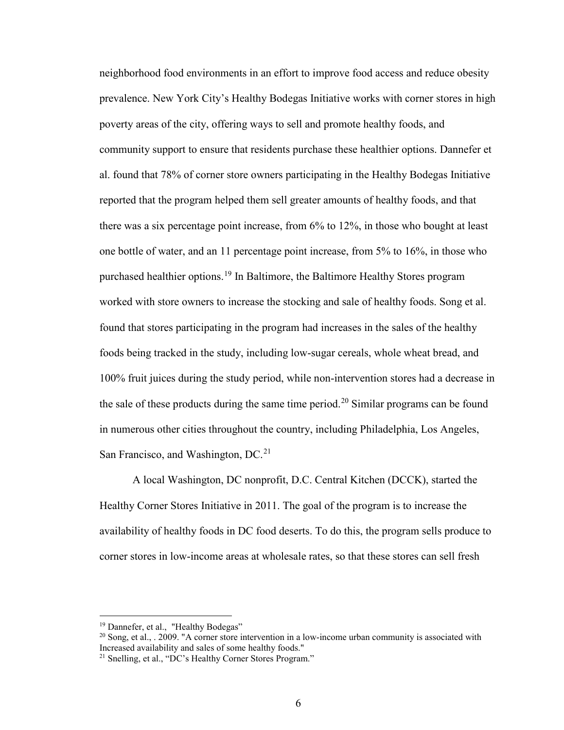neighborhood food environments in an effort to improve food access and reduce obesity prevalence. New York City's Healthy Bodegas Initiative works with corner stores in high poverty areas of the city, offering ways to sell and promote healthy foods, and community support to ensure that residents purchase these healthier options. Dannefer et al. found that 78% of corner store owners participating in the Healthy Bodegas Initiative reported that the program helped them sell greater amounts of healthy foods, and that there was a six percentage point increase, from 6% to 12%, in those who bought at least one bottle of water, and an 11 percentage point increase, from 5% to 16%, in those who purchased healthier options.<sup>[19](#page-8-0)</sup> In Baltimore, the Baltimore Healthy Stores program worked with store owners to increase the stocking and sale of healthy foods. Song et al. found that stores participating in the program had increases in the sales of the healthy foods being tracked in the study, including low-sugar cereals, whole wheat bread, and 100% fruit juices during the study period, while non-intervention stores had a decrease in the sale of these products during the same time period.<sup>[20](#page-8-1)</sup> Similar programs can be found in numerous other cities throughout the country, including Philadelphia, Los Angeles, San Francisco, and Washington, DC.<sup>[21](#page-8-2)</sup>

A local Washington, DC nonprofit, D.C. Central Kitchen (DCCK), started the Healthy Corner Stores Initiative in 2011. The goal of the program is to increase the availability of healthy foods in DC food deserts. To do this, the program sells produce to corner stores in low-income areas at wholesale rates, so that these stores can sell fresh

<span id="page-8-0"></span><sup>&</sup>lt;sup>19</sup> Dannefer, et al., "Healthy Bodegas"

<span id="page-8-1"></span> $^{20}$  Song, et al., . 2009. "A corner store intervention in a low-income urban community is associated with Increased availability and sales of some healthy foods." 21 Snelling, et al., "DC's Healthy Corner Stores Program."

<span id="page-8-2"></span>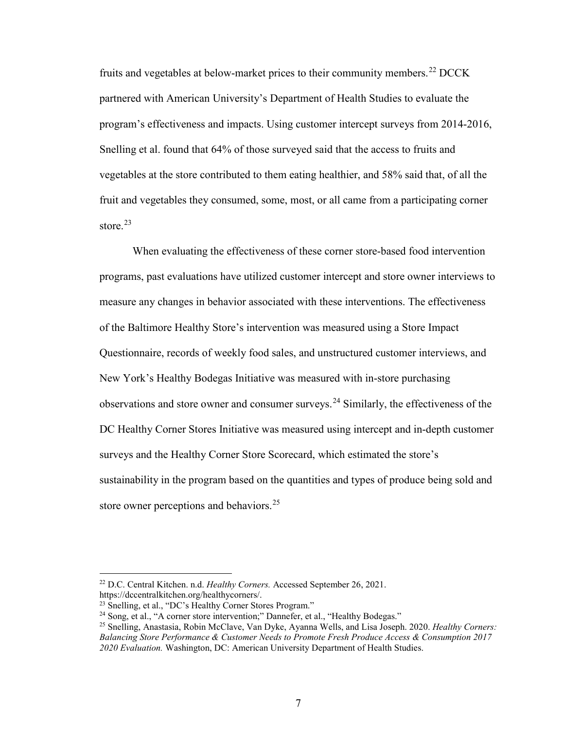fruits and vegetables at below-market prices to their community members.<sup>[22](#page-9-0)</sup> DCCK partnered with American University's Department of Health Studies to evaluate the program's effectiveness and impacts. Using customer intercept surveys from 2014-2016, Snelling et al. found that 64% of those surveyed said that the access to fruits and vegetables at the store contributed to them eating healthier, and 58% said that, of all the fruit and vegetables they consumed, some, most, or all came from a participating corner store.<sup>[23](#page-9-1)</sup>

When evaluating the effectiveness of these corner store-based food intervention programs, past evaluations have utilized customer intercept and store owner interviews to measure any changes in behavior associated with these interventions. The effectiveness of the Baltimore Healthy Store's intervention was measured using a Store Impact Questionnaire, records of weekly food sales, and unstructured customer interviews, and New York's Healthy Bodegas Initiative was measured with in-store purchasing observations and store owner and consumer surveys.<sup>[24](#page-9-2)</sup> Similarly, the effectiveness of the DC Healthy Corner Stores Initiative was measured using intercept and in-depth customer surveys and the Healthy Corner Store Scorecard, which estimated the store's sustainability in the program based on the quantities and types of produce being sold and store owner perceptions and behaviors.<sup>[25](#page-9-3)</sup>

<span id="page-9-0"></span><sup>22</sup> D.C. Central Kitchen. n.d. *Healthy Corners.* Accessed September 26, 2021.

https://dccentralkitchen.org/healthycorners/.

<span id="page-9-1"></span><sup>&</sup>lt;sup>23</sup> Snelling, et al., "DC's Healthy Corner Stores Program."

<sup>&</sup>lt;sup>24</sup> Song, et al., "A corner store intervention;" Dannefer, et al., "Healthy Bodegas."

<span id="page-9-3"></span><span id="page-9-2"></span><sup>25</sup> Snelling, Anastasia, Robin McClave, Van Dyke, Ayanna Wells, and Lisa Joseph. 2020. *Healthy Corners: Balancing Store Performance & Customer Needs to Promote Fresh Produce Access & Consumption 2017 2020 Evaluation.* Washington, DC: American University Department of Health Studies.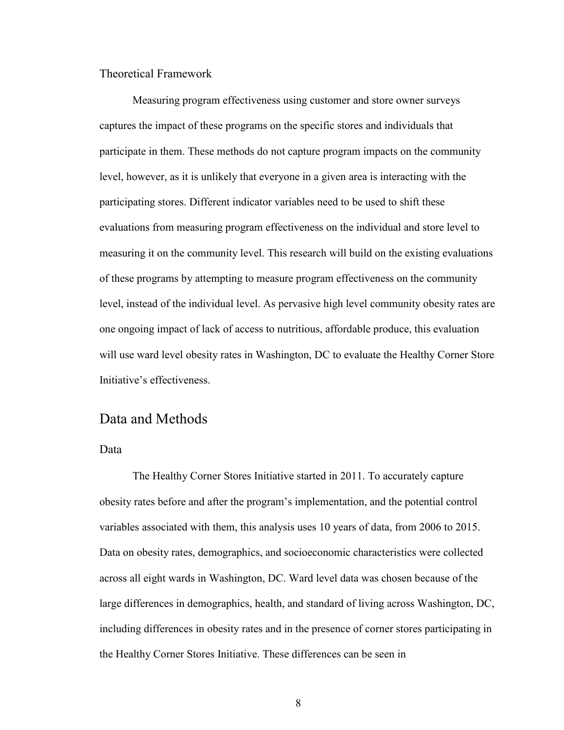<span id="page-10-0"></span>Theoretical Framework

Measuring program effectiveness using customer and store owner surveys captures the impact of these programs on the specific stores and individuals that participate in them. These methods do not capture program impacts on the community level, however, as it is unlikely that everyone in a given area is interacting with the participating stores. Different indicator variables need to be used to shift these evaluations from measuring program effectiveness on the individual and store level to measuring it on the community level. This research will build on the existing evaluations of these programs by attempting to measure program effectiveness on the community level, instead of the individual level. As pervasive high level community obesity rates are one ongoing impact of lack of access to nutritious, affordable produce, this evaluation will use ward level obesity rates in Washington, DC to evaluate the Healthy Corner Store Initiative's effectiveness.

# <span id="page-10-1"></span>Data and Methods

#### <span id="page-10-2"></span>Data

The Healthy Corner Stores Initiative started in 2011. To accurately capture obesity rates before and after the program's implementation, and the potential control variables associated with them, this analysis uses 10 years of data, from 2006 to 2015. Data on obesity rates, demographics, and socioeconomic characteristics were collected across all eight wards in Washington, DC. Ward level data was chosen because of the large differences in demographics, health, and standard of living across Washington, DC, including differences in obesity rates and in the presence of corner stores participating in the Healthy Corner Stores Initiative. These differences can be seen in

8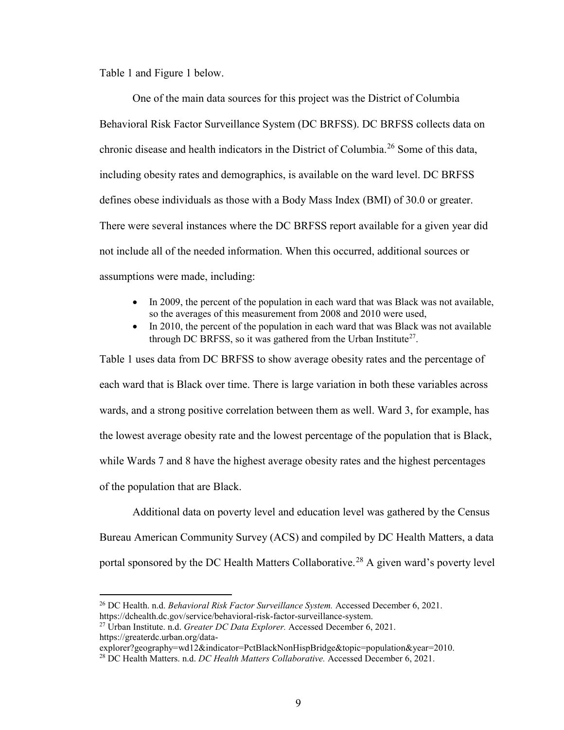[Table 1](#page-13-1) and [Figure 1](#page-14-0) below.

 One of the main data sources for this project was the District of Columbia Behavioral Risk Factor Surveillance System (DC BRFSS). DC BRFSS collects data on chronic disease and health indicators in the District of Columbia.<sup>26</sup> Some of this data, including obesity rates and demographics, is available on the ward level. DC BRFSS defines obese individuals as those with a Body Mass Index (BMI) of 30.0 or greater. There were several instances where the DC BRFSS report available for a given year did not include all of the needed information. When this occurred, additional sources or assumptions were made, including:

- In 2009, the percent of the population in each ward that was Black was not available, so the averages of this measurement from 2008 and 2010 were used,
- In 2010, the percent of the population in each ward that was Black was not available through DC BRFSS, so it was gathered from the Urban Institute<sup>27</sup>[.](#page-13-1)

[Table 1](#page-13-1) uses data from DC BRFSS to show average obesity rates and the percentage of each ward that is Black over time. There is large variation in both these variables across wards, and a strong positive correlation between them as well. Ward 3, for example, has the lowest average obesity rate and the lowest percentage of the population that is Black, while Wards 7 and 8 have the highest average obesity rates and the highest percentages of the population that are Black.

Additional data on poverty level and education level was gathered by the Census Bureau American Community Survey (ACS) and compiled by DC Health Matters, a data portal sponsored by the DC Health Matters Collaborative.<sup>28</sup> A given ward's poverty level

<span id="page-11-0"></span><sup>26</sup> DC Health. n.d. *Behavioral Risk Factor Surveillance System.* Accessed December 6, 2021. https://dchealth.dc.gov/service/behavioral-risk-factor-surveillance-system.

<span id="page-11-1"></span><sup>27</sup> Urban Institute. n.d. *Greater DC Data Explorer.* Accessed December 6, 2021. https://greaterdc.urban.org/data-

explorer?geography=wd12&indicator=PctBlackNonHispBridge&topic=population&year=2010.

<span id="page-11-2"></span><sup>28</sup> DC Health Matters. n.d. *DC Health Matters Collaborative.* Accessed December 6, 2021.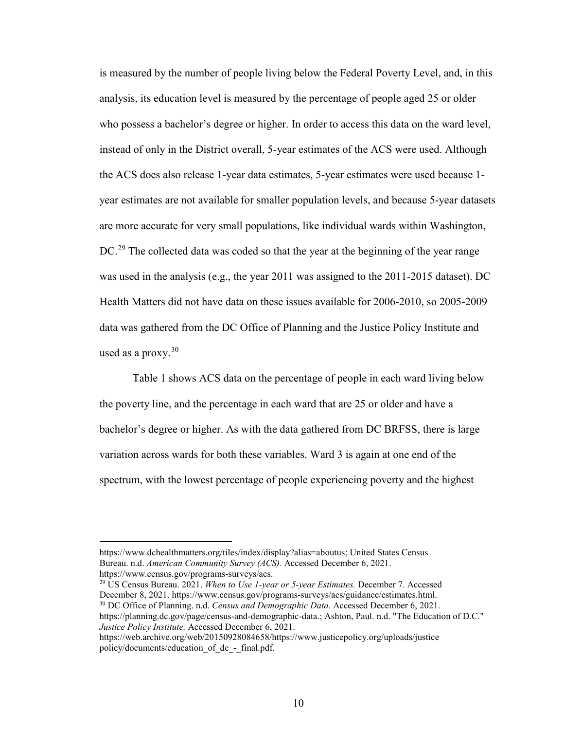is measured by the number of people living below the Federal Poverty Level, and, in this analysis, its education level is measured by the percentage of people aged 25 or older who possess a bachelor's degree or higher. In order to access this data on the ward level, instead of only in the District overall, 5-year estimates of the ACS were used. Although the ACS does also release 1-year data estimates, 5-year estimates were used because 1 year estimates are not available for smaller population levels, and because 5-year datasets are more accurate for very small populations, like individual wards within Washington, DC.<sup>[29](#page-12-0)</sup> The collected data was coded so that the year at the beginning of the year range was used in the analysis (e.g., the year 2011 was assigned to the 2011-2015 dataset). DC Health Matters did not have data on these issues available for 2006-2010, so 2005-2009 data was gathered from the DC Office of Planning and the Justice Policy Institute and used as a proxy.  $30$ 

[Table 1](#page-13-1) shows ACS data on the percentage of people in each ward living below the poverty line, and the percentage in each ward that are 25 or older and have a bachelor's degree or higher. As with the data gathered from DC BRFSS, there is large variation across wards for both these variables. Ward 3 is again at one end of the spectrum, with the lowest percentage of people experiencing poverty and the highest

 $\overline{a}$ 

<span id="page-12-1"></span><span id="page-12-0"></span><sup>29</sup> US Census Bureau. 2021. *When to Use 1-year or 5-year Estimates.* December 7. Accessed December 8, 2021. https://www.census.gov/programs-surveys/acs/guidance/estimates.html. <sup>30</sup> DC Office of Planning. n.d. *Census and Demographic Data.* Accessed December 6, 2021. https://planning.dc.gov/page/census-and-demographic-data.; Ashton, Paul. n.d. "The Education of D.C." *Justice Policy Institute.* Accessed December 6, 2021.

https://www.dchealthmatters.org/tiles/index/display?alias=aboutus; United States Census Bureau. n.d. *American Community Survey (ACS).* Accessed December 6, 2021. https://www.census.gov/programs-surveys/acs.

https://web.archive.org/web/20150928084658/https://www.justicepolicy.org/uploads/justice policy/documents/education\_of\_dc\_-\_final.pdf.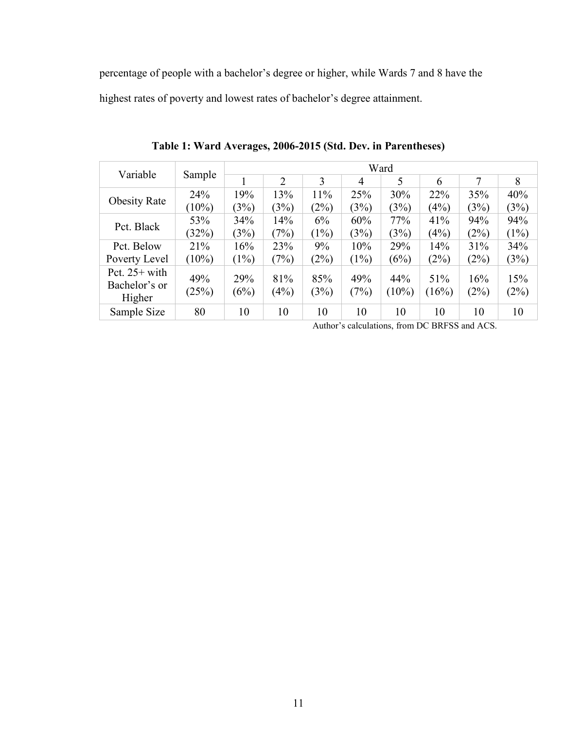percentage of people with a bachelor's degree or higher, while Wards 7 and 8 have the

<span id="page-13-1"></span>highest rates of poverty and lowest rates of bachelor's degree attainment.

<span id="page-13-0"></span>

| Variable                                   |              | Ward        |                |             |             |                 |              |             |             |
|--------------------------------------------|--------------|-------------|----------------|-------------|-------------|-----------------|--------------|-------------|-------------|
|                                            | Sample       |             | $\overline{2}$ | 3           | 4           | 5               | 6            | 7           | 8           |
|                                            | 24%          | 19%         | 13%            | 11%         | 25%         | 30%             | 22%          | 35%         | 40%         |
| <b>Obesity Rate</b>                        | $(10\%)$     | (3%)        | (3%)           | (2%)        | (3%)        | (3%)            | (4%)         | (3%)        | (3%)        |
| Pct. Black                                 | 53%          | 34%         | 14%            | 6%          | 60%         | 77%             | 41%          | 94%         | 94%         |
|                                            | (32%)        | (3%)        | (7%)           | (1%)        | (3%)        | (3%)            | (4%)         | (2%)        | (1%)        |
| Pct. Below                                 | 21%          | 16%         | 23%            | 9%          | 10%         | 29%             | 14%          | 31%         | 34%         |
| Poverty Level                              | $(10\%)$     | (1%)        | (7%)           | (2%)        | $(1\%)$     | (6%)            | (2%)         | (2%)        | (3%)        |
| Pct. $25+$ with<br>Bachelor's or<br>Higher | 49%<br>(25%) | 29%<br>(6%) | 81%<br>(4%)    | 85%<br>(3%) | 49%<br>(7%) | 44%<br>$(10\%)$ | 51%<br>(16%) | 16%<br>(2%) | 15%<br>(2%) |
| Sample Size                                | 80           | 10          | 10             | 10          | 10          | 10              | 10           | 10          | 10          |

**Table 1: Ward Averages, 2006-2015 (Std. Dev. in Parentheses)**

Author's calculations, from DC BRFSS and ACS.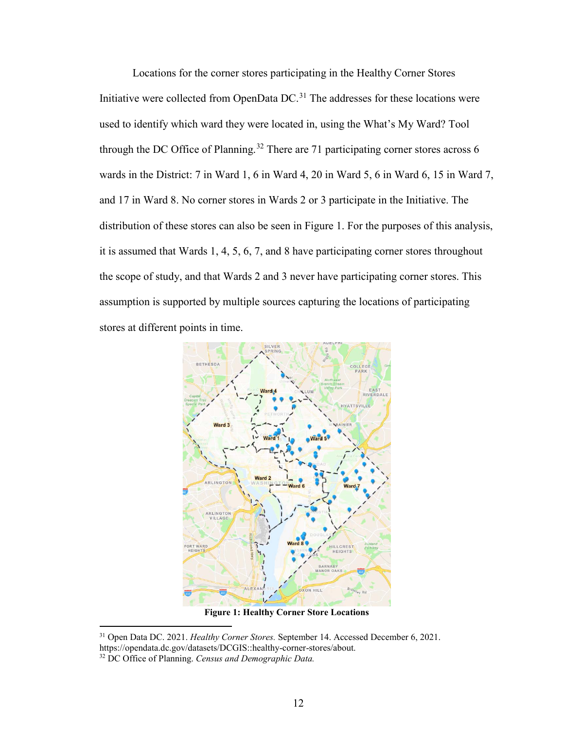Locations for the corner stores participating in the Healthy Corner Stores Initiative were collected from OpenData  $DC<sup>31</sup>$  $DC<sup>31</sup>$  $DC<sup>31</sup>$ . The addresses for these locations were used to identify which ward they were located in, using the What's My Ward? Tool through the DC Office of Planning.<sup>[32](#page-14-2)</sup> There are 71 participating corner stores across 6 wards in the District: 7 in Ward 1, 6 in Ward 4, 20 in Ward 5, 6 in Ward 6, 15 in Ward 7, and 17 in Ward 8. No corner stores in Wards 2 or 3 participate in the Initiative. The distribution of these stores can also be seen in [Figure 1.](#page-14-0) For the purposes of this analysis, it is assumed that Wards 1, 4, 5, 6, 7, and 8 have participating corner stores throughout the scope of study, and that Wards 2 and 3 never have participating corner stores. This assumption is supported by multiple sources capturing the locations of participating stores at different points in time.



<span id="page-14-0"></span>**Figure 1: Healthy Corner Store Locations**

<span id="page-14-1"></span><sup>31</sup> Open Data DC. 2021. *Healthy Corner Stores.* September 14. Accessed December 6, 2021. https://opendata.dc.gov/datasets/DCGIS::healthy-corner-stores/about.

<span id="page-14-2"></span><sup>32</sup> DC Office of Planning. *Census and Demographic Data.*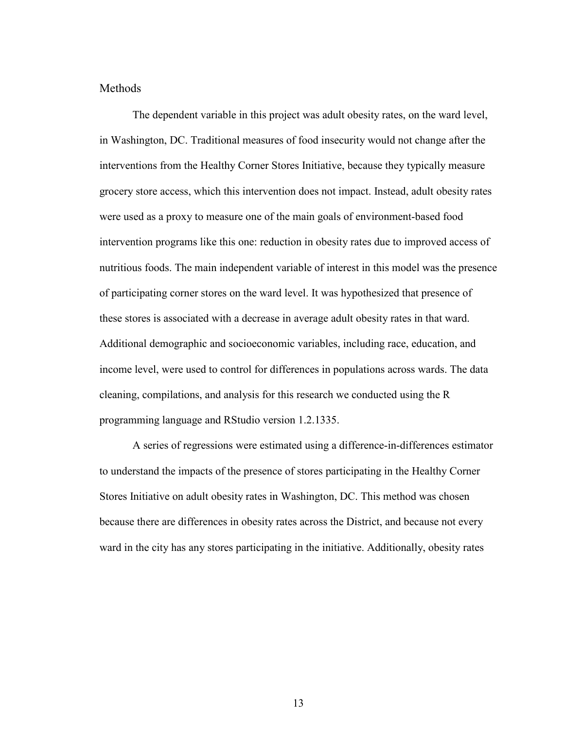### <span id="page-15-0"></span>Methods

 The dependent variable in this project was adult obesity rates, on the ward level, in Washington, DC. Traditional measures of food insecurity would not change after the interventions from the Healthy Corner Stores Initiative, because they typically measure grocery store access, which this intervention does not impact. Instead, adult obesity rates were used as a proxy to measure one of the main goals of environment-based food intervention programs like this one: reduction in obesity rates due to improved access of nutritious foods. The main independent variable of interest in this model was the presence of participating corner stores on the ward level. It was hypothesized that presence of these stores is associated with a decrease in average adult obesity rates in that ward. Additional demographic and socioeconomic variables, including race, education, and income level, were used to control for differences in populations across wards. The data cleaning, compilations, and analysis for this research we conducted using the R programming language and RStudio version 1.2.1335.

A series of regressions were estimated using a difference-in-differences estimator to understand the impacts of the presence of stores participating in the Healthy Corner Stores Initiative on adult obesity rates in Washington, DC. This method was chosen because there are differences in obesity rates across the District, and because not every ward in the city has any stores participating in the initiative. Additionally, obesity rates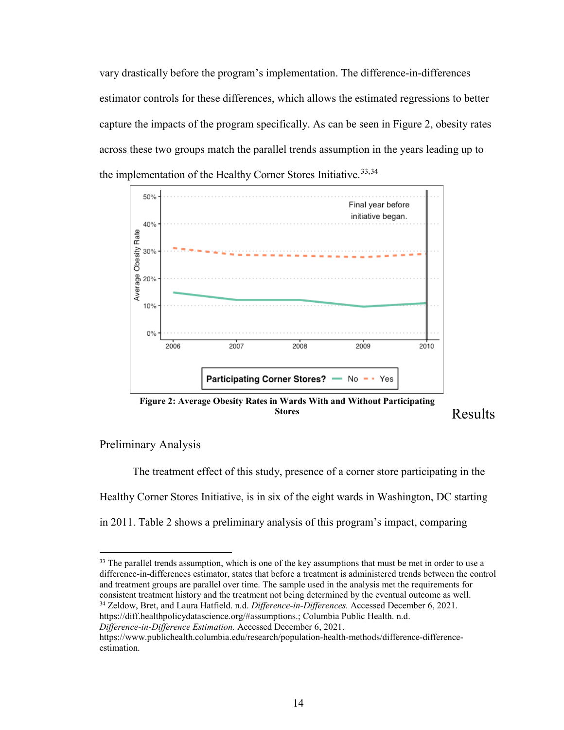vary drastically before the program's implementation. The difference-in-differences estimator controls for these differences, which allows the estimated regressions to better capture the impacts of the program specifically. As can be seen in [Figure 2,](#page-16-2) obesity rates across these two groups match the parallel trends assumption in the years leading up to the implementation of the Healthy Corner Stores Initiative.<sup>[33,](#page-16-3)34</sup>



<span id="page-16-2"></span>**Figure 2: Average Obesity Rates in Wards With and Without Participating Stores**

<span id="page-16-0"></span>Results

### <span id="page-16-1"></span>Preliminary Analysis

 $\overline{a}$ 

The treatment effect of this study, presence of a corner store participating in the Healthy Corner Stores Initiative, is in six of the eight wards in Washington, DC starting in 2011. [Table 2](#page-17-1) shows a preliminary analysis of this program's impact, comparing

<span id="page-16-4"></span>https://diff.healthpolicydatascience.org/#assumptions.; Columbia Public Health. n.d. *Difference-in-Difference Estimation.* Accessed December 6, 2021.

<span id="page-16-3"></span> $33$  The parallel trends assumption, which is one of the key assumptions that must be met in order to use a difference-in-differences estimator, states that before a treatment is administered trends between the control and treatment groups are parallel over time. The sample used in the analysis met the requirements for consistent treatment history and the treatment not being determined by the eventual outcome as well. <sup>34</sup> Zeldow, Bret, and Laura Hatfield. n.d. *Difference-in-Differences.* Accessed December 6, 2021.

https://www.publichealth.columbia.edu/research/population-health-methods/difference-differenceestimation.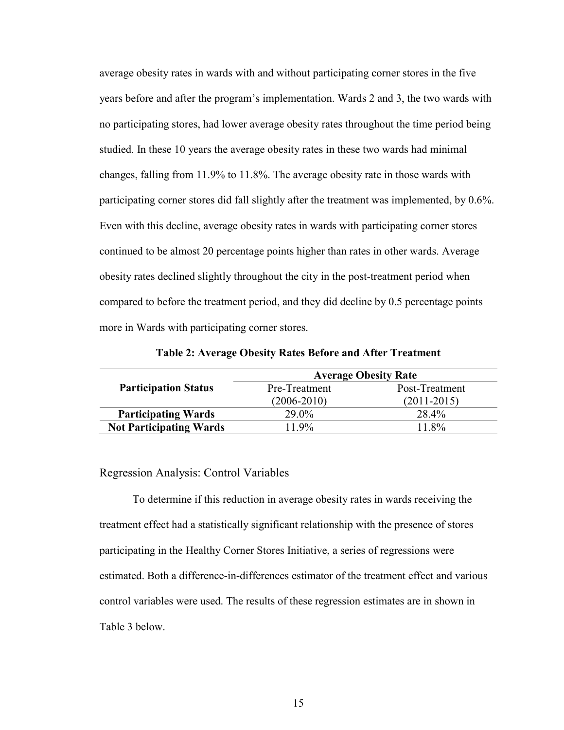average obesity rates in wards with and without participating corner stores in the five years before and after the program's implementation. Wards 2 and 3, the two wards with no participating stores, had lower average obesity rates throughout the time period being studied. In these 10 years the average obesity rates in these two wards had minimal changes, falling from 11.9% to 11.8%. The average obesity rate in those wards with participating corner stores did fall slightly after the treatment was implemented, by 0.6%. Even with this decline, average obesity rates in wards with participating corner stores continued to be almost 20 percentage points higher than rates in other wards. Average obesity rates declined slightly throughout the city in the post-treatment period when compared to before the treatment period, and they did decline by 0.5 percentage points more in Wards with participating corner stores.

<span id="page-17-1"></span>

|                                | <b>Average Obesity Rate</b> |                 |  |  |
|--------------------------------|-----------------------------|-----------------|--|--|
| <b>Participation Status</b>    | Pre-Treatment               | Post-Treatment  |  |  |
|                                | $(2006 - 2010)$             | $(2011 - 2015)$ |  |  |
| <b>Participating Wards</b>     | 29.0%                       | 28.4%           |  |  |
| <b>Not Participating Wards</b> | $11.9\%$                    | 11.8%           |  |  |

**Table 2: Average Obesity Rates Before and After Treatment**

#### <span id="page-17-0"></span>Regression Analysis: Control Variables

To determine if this reduction in average obesity rates in wards receiving the treatment effect had a statistically significant relationship with the presence of stores participating in the Healthy Corner Stores Initiative, a series of regressions were estimated. Both a difference-in-differences estimator of the treatment effect and various control variables were used. The results of these regression estimates are in shown in [Table 3](#page-18-0) below.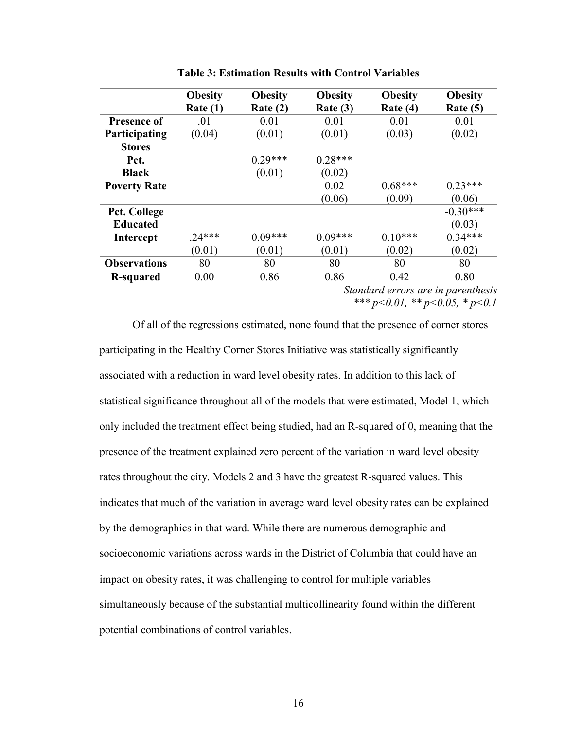<span id="page-18-0"></span>

|                                    | <b>Obesity</b> | <b>Obesity</b> | <b>Obesity</b> | <b>Obesity</b> | <b>Obesity</b> |
|------------------------------------|----------------|----------------|----------------|----------------|----------------|
|                                    | Rate(1)        | Rate $(2)$     | Rate $(3)$     | Rate $(4)$     | Rate $(5)$     |
| <b>Presence of</b>                 | .01            | 0.01           | 0.01           | 0.01           | 0.01           |
| Participating                      | (0.04)         | (0.01)         | (0.01)         | (0.03)         | (0.02)         |
| <b>Stores</b>                      |                |                |                |                |                |
| Pct.                               |                | $0.29***$      | $0.28***$      |                |                |
| <b>Black</b>                       |                | (0.01)         | (0.02)         |                |                |
| <b>Poverty Rate</b>                |                |                | 0.02           | $0.68***$      | $0.23***$      |
|                                    |                |                | (0.06)         | (0.09)         | (0.06)         |
| <b>Pct. College</b>                |                |                |                |                | $-0.30***$     |
| <b>Educated</b>                    |                |                |                |                | (0.03)         |
| <b>Intercept</b>                   | $.24***$       | $0.09***$      | $0.09***$      | $0.10***$      | $0.34***$      |
|                                    | (0.01)         | (0.01)         | (0.01)         | (0.02)         | (0.02)         |
| <b>Observations</b>                | 80             | 80             | 80             | 80             | 80             |
| R-squared                          | 0.00           | 0.86           | 0.86           | 0.42           | 0.80           |
| Standard errors are in parenthesis |                |                |                |                |                |

**Table 3: Estimation Results with Control Variables**

*\*\*\* p<0.01, \*\* p<0.05, \* p<0.1* 

 Of all of the regressions estimated, none found that the presence of corner stores participating in the Healthy Corner Stores Initiative was statistically significantly associated with a reduction in ward level obesity rates. In addition to this lack of statistical significance throughout all of the models that were estimated, Model 1, which only included the treatment effect being studied, had an R-squared of 0, meaning that the presence of the treatment explained zero percent of the variation in ward level obesity rates throughout the city. Models 2 and 3 have the greatest R-squared values. This indicates that much of the variation in average ward level obesity rates can be explained by the demographics in that ward. While there are numerous demographic and socioeconomic variations across wards in the District of Columbia that could have an impact on obesity rates, it was challenging to control for multiple variables simultaneously because of the substantial multicollinearity found within the different potential combinations of control variables.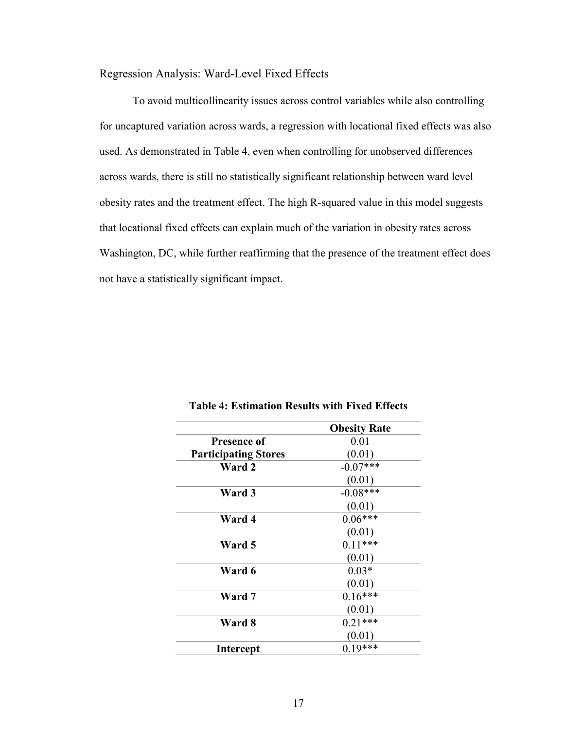<span id="page-19-0"></span>Regression Analysis: Ward-Level Fixed Effects

To avoid multicollinearity issues across control variables while also controlling for uncaptured variation across wards, a regression with locational fixed effects was also used. As demonstrated in [Table 4,](#page-19-1) even when controlling for unobserved differences across wards, there is still no statistically significant relationship between ward level obesity rates and the treatment effect. The high R-squared value in this model suggests that locational fixed effects can explain much of the variation in obesity rates across Washington, DC, while further reaffirming that the presence of the treatment effect does not have a statistically significant impact.

<span id="page-19-1"></span>

|                             | <b>Obesity Rate</b> |
|-----------------------------|---------------------|
| <b>Presence of</b>          | 0.01                |
| <b>Participating Stores</b> | (0.01)              |
| Ward 2                      | $-0.07***$          |
|                             | (0.01)              |
| Ward 3                      | $-0.08***$          |
|                             | (0.01)              |
| Ward 4                      | $0.06***$           |
|                             | (0.01)              |
| Ward 5                      | $0.11***$           |
|                             | (0.01)              |
| Ward 6                      | $0.03*$             |
|                             | (0.01)              |
| Ward 7                      | $0.16***$           |
|                             | (0.01)              |
| Ward 8                      | $0.21***$           |
|                             | (0.01)              |
| <b>Intercept</b>            | $0.19***$           |

**Table 4: Estimation Results with Fixed Effects**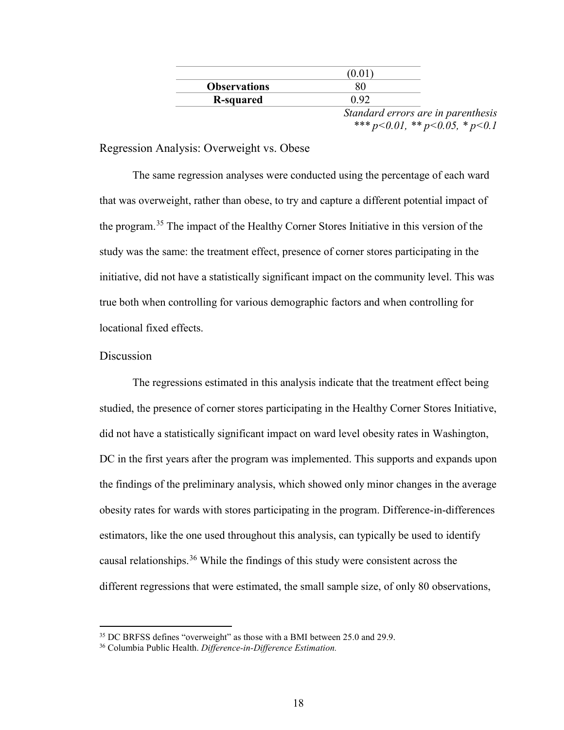|                     | (0.01 |                                    |
|---------------------|-------|------------------------------------|
| <b>Observations</b> |       |                                    |
| R-squared           | 0.92  |                                    |
|                     |       | Standard errors are in parenthesis |

*\*\*\* p<0.01, \*\* p<0.05, \* p<0.1* 

### <span id="page-20-0"></span>Regression Analysis: Overweight vs. Obese

The same regression analyses were conducted using the percentage of each ward that was overweight, rather than obese, to try and capture a different potential impact of the program.[35](#page-20-2) The impact of the Healthy Corner Stores Initiative in this version of the study was the same: the treatment effect, presence of corner stores participating in the initiative, did not have a statistically significant impact on the community level. This was true both when controlling for various demographic factors and when controlling for locational fixed effects.

### <span id="page-20-1"></span>**Discussion**

 $\overline{a}$ 

The regressions estimated in this analysis indicate that the treatment effect being studied, the presence of corner stores participating in the Healthy Corner Stores Initiative, did not have a statistically significant impact on ward level obesity rates in Washington, DC in the first years after the program was implemented. This supports and expands upon the findings of the preliminary analysis, which showed only minor changes in the average obesity rates for wards with stores participating in the program. Difference-in-differences estimators, like the one used throughout this analysis, can typically be used to identify causal relationships.<sup>36</sup> While the findings of this study were consistent across the different regressions that were estimated, the small sample size, of only 80 observations,

<sup>&</sup>lt;sup>35</sup> DC BRFSS defines "overweight" as those with a BMI between 25.0 and 29.9.

<span id="page-20-3"></span><span id="page-20-2"></span><sup>36</sup> Columbia Public Health. *Difference-in-Difference Estimation.*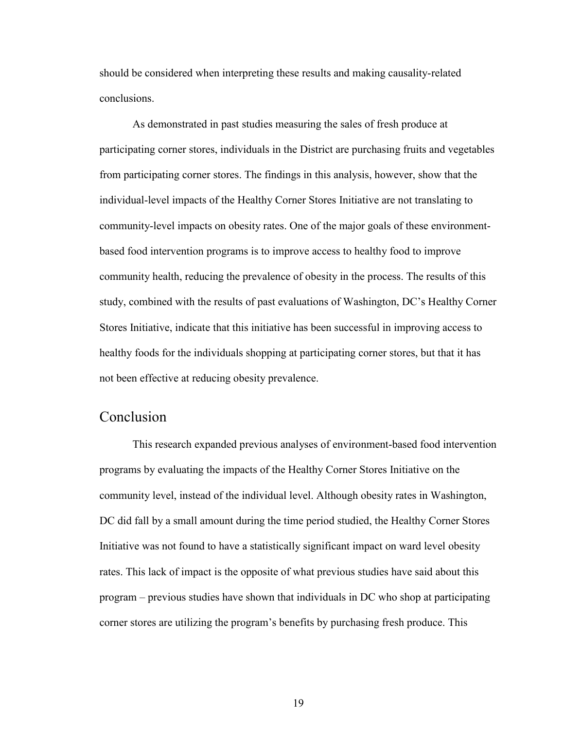should be considered when interpreting these results and making causality-related conclusions.

As demonstrated in past studies measuring the sales of fresh produce at participating corner stores, individuals in the District are purchasing fruits and vegetables from participating corner stores. The findings in this analysis, however, show that the individual-level impacts of the Healthy Corner Stores Initiative are not translating to community-level impacts on obesity rates. One of the major goals of these environmentbased food intervention programs is to improve access to healthy food to improve community health, reducing the prevalence of obesity in the process. The results of this study, combined with the results of past evaluations of Washington, DC's Healthy Corner Stores Initiative, indicate that this initiative has been successful in improving access to healthy foods for the individuals shopping at participating corner stores, but that it has not been effective at reducing obesity prevalence.

# <span id="page-21-0"></span>Conclusion

This research expanded previous analyses of environment-based food intervention programs by evaluating the impacts of the Healthy Corner Stores Initiative on the community level, instead of the individual level. Although obesity rates in Washington, DC did fall by a small amount during the time period studied, the Healthy Corner Stores Initiative was not found to have a statistically significant impact on ward level obesity rates. This lack of impact is the opposite of what previous studies have said about this program – previous studies have shown that individuals in DC who shop at participating corner stores are utilizing the program's benefits by purchasing fresh produce. This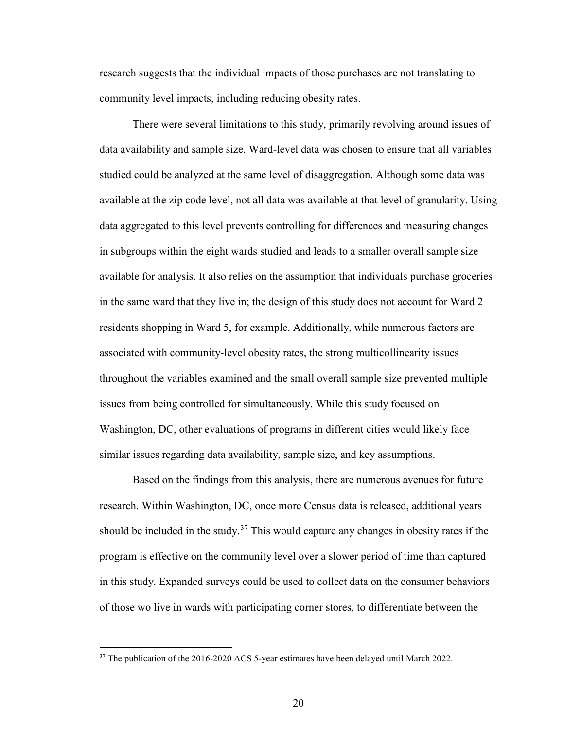research suggests that the individual impacts of those purchases are not translating to community level impacts, including reducing obesity rates.

There were several limitations to this study, primarily revolving around issues of data availability and sample size. Ward-level data was chosen to ensure that all variables studied could be analyzed at the same level of disaggregation. Although some data was available at the zip code level, not all data was available at that level of granularity. Using data aggregated to this level prevents controlling for differences and measuring changes in subgroups within the eight wards studied and leads to a smaller overall sample size available for analysis. It also relies on the assumption that individuals purchase groceries in the same ward that they live in; the design of this study does not account for Ward 2 residents shopping in Ward 5, for example. Additionally, while numerous factors are associated with community-level obesity rates, the strong multicollinearity issues throughout the variables examined and the small overall sample size prevented multiple issues from being controlled for simultaneously. While this study focused on Washington, DC, other evaluations of programs in different cities would likely face similar issues regarding data availability, sample size, and key assumptions.

Based on the findings from this analysis, there are numerous avenues for future research. Within Washington, DC, once more Census data is released, additional years should be included in the study.<sup>[37](#page-22-0)</sup> This would capture any changes in obesity rates if the program is effective on the community level over a slower period of time than captured in this study. Expanded surveys could be used to collect data on the consumer behaviors of those wo live in wards with participating corner stores, to differentiate between the

<span id="page-22-0"></span><sup>&</sup>lt;sup>37</sup> The publication of the 2016-2020 ACS 5-year estimates have been delayed until March 2022.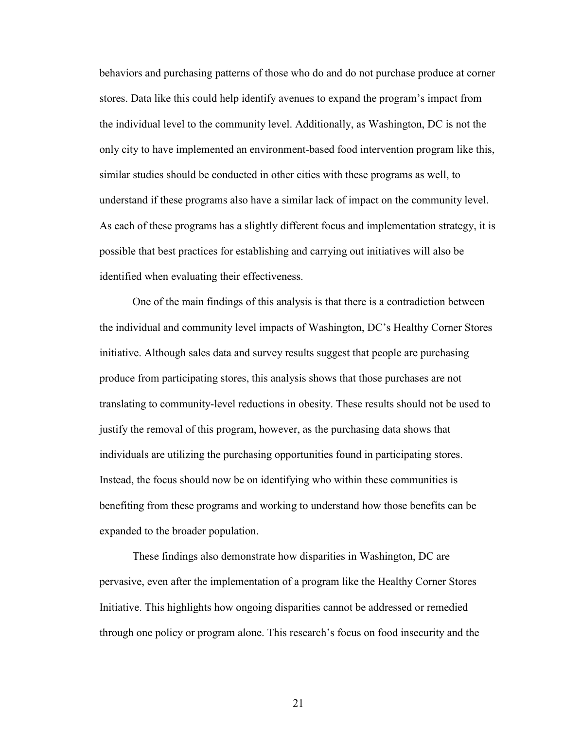behaviors and purchasing patterns of those who do and do not purchase produce at corner stores. Data like this could help identify avenues to expand the program's impact from the individual level to the community level. Additionally, as Washington, DC is not the only city to have implemented an environment-based food intervention program like this, similar studies should be conducted in other cities with these programs as well, to understand if these programs also have a similar lack of impact on the community level. As each of these programs has a slightly different focus and implementation strategy, it is possible that best practices for establishing and carrying out initiatives will also be identified when evaluating their effectiveness.

One of the main findings of this analysis is that there is a contradiction between the individual and community level impacts of Washington, DC's Healthy Corner Stores initiative. Although sales data and survey results suggest that people are purchasing produce from participating stores, this analysis shows that those purchases are not translating to community-level reductions in obesity. These results should not be used to justify the removal of this program, however, as the purchasing data shows that individuals are utilizing the purchasing opportunities found in participating stores. Instead, the focus should now be on identifying who within these communities is benefiting from these programs and working to understand how those benefits can be expanded to the broader population.

These findings also demonstrate how disparities in Washington, DC are pervasive, even after the implementation of a program like the Healthy Corner Stores Initiative. This highlights how ongoing disparities cannot be addressed or remedied through one policy or program alone. This research's focus on food insecurity and the

21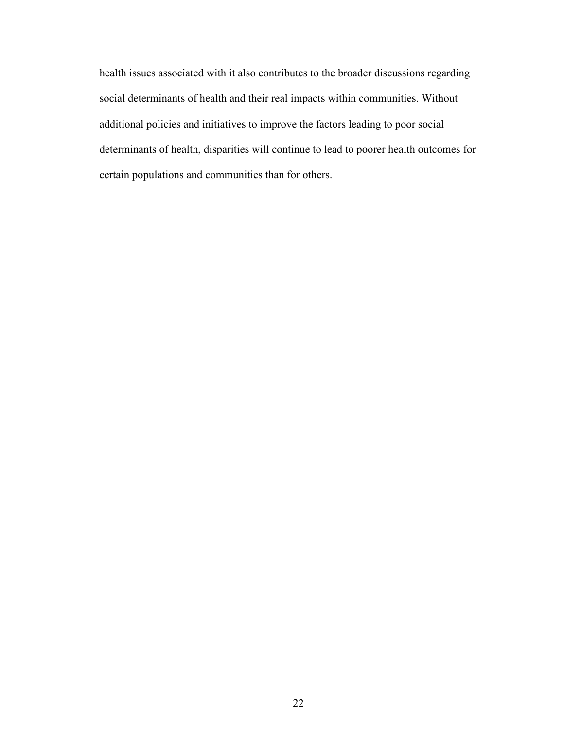health issues associated with it also contributes to the broader discussions regarding social determinants of health and their real impacts within communities. Without additional policies and initiatives to improve the factors leading to poor social determinants of health, disparities will continue to lead to poorer health outcomes for certain populations and communities than for others.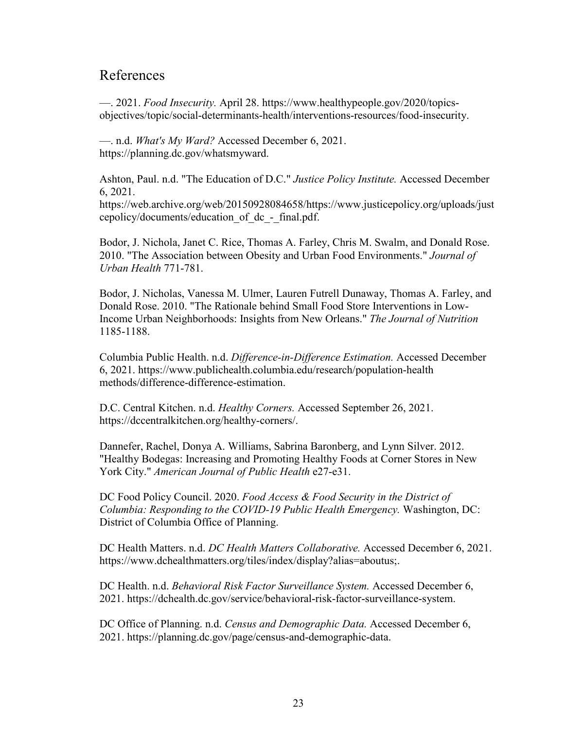# <span id="page-25-0"></span>References

—. 2021. *Food Insecurity.* April 28. https://www.healthypeople.gov/2020/topicsobjectives/topic/social-determinants-health/interventions-resources/food-insecurity.

—. n.d. *What's My Ward?* Accessed December 6, 2021. https://planning.dc.gov/whatsmyward.

Ashton, Paul. n.d. "The Education of D.C." *Justice Policy Institute.* Accessed December 6, 2021.

https://web.archive.org/web/20150928084658/https://www.justicepolicy.org/uploads/just cepolicy/documents/education\_of\_dc\_-\_final.pdf.

Bodor, J. Nichola, Janet C. Rice, Thomas A. Farley, Chris M. Swalm, and Donald Rose. 2010. "The Association between Obesity and Urban Food Environments." *Journal of Urban Health* 771-781.

Bodor, J. Nicholas, Vanessa M. Ulmer, Lauren Futrell Dunaway, Thomas A. Farley, and Donald Rose. 2010. "The Rationale behind Small Food Store Interventions in Low-Income Urban Neighborhoods: Insights from New Orleans." *The Journal of Nutrition* 1185-1188.

Columbia Public Health. n.d. *Difference-in-Difference Estimation.* Accessed December 6, 2021. https://www.publichealth.columbia.edu/research/population-health methods/difference-difference-estimation.

D.C. Central Kitchen. n.d. *Healthy Corners.* Accessed September 26, 2021. https://dccentralkitchen.org/healthy-corners/.

Dannefer, Rachel, Donya A. Williams, Sabrina Baronberg, and Lynn Silver. 2012. "Healthy Bodegas: Increasing and Promoting Healthy Foods at Corner Stores in New York City." *American Journal of Public Health* e27-e31.

DC Food Policy Council. 2020. *Food Access & Food Security in the District of Columbia: Responding to the COVID-19 Public Health Emergency.* Washington, DC: District of Columbia Office of Planning.

DC Health Matters. n.d. *DC Health Matters Collaborative.* Accessed December 6, 2021. https://www.dchealthmatters.org/tiles/index/display?alias=aboutus;.

DC Health. n.d. *Behavioral Risk Factor Surveillance System.* Accessed December 6, 2021. https://dchealth.dc.gov/service/behavioral-risk-factor-surveillance-system.

DC Office of Planning. n.d. *Census and Demographic Data.* Accessed December 6, 2021. https://planning.dc.gov/page/census-and-demographic-data.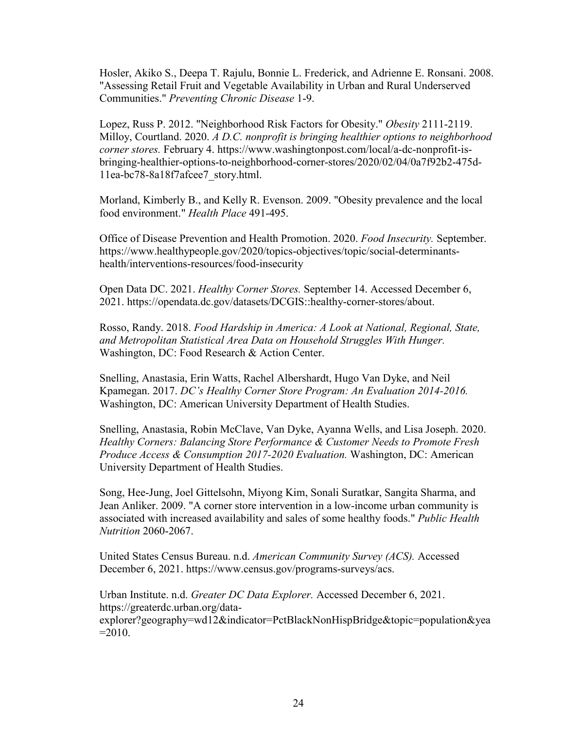Hosler, Akiko S., Deepa T. Rajulu, Bonnie L. Frederick, and Adrienne E. Ronsani. 2008. "Assessing Retail Fruit and Vegetable Availability in Urban and Rural Underserved Communities." *Preventing Chronic Disease* 1-9.

Lopez, Russ P. 2012. "Neighborhood Risk Factors for Obesity." *Obesity* 2111-2119. Milloy, Courtland. 2020. *A D.C. nonprofit is bringing healthier options to neighborhood corner stores.* February 4. https://www.washingtonpost.com/local/a-dc-nonprofit-isbringing-healthier-options-to-neighborhood-corner-stores/2020/02/04/0a7f92b2-475d-11ea-bc78-8a18f7afcee7\_story.html.

Morland, Kimberly B., and Kelly R. Evenson. 2009. "Obesity prevalence and the local food environment." *Health Place* 491-495.

Office of Disease Prevention and Health Promotion. 2020. *Food Insecurity.* September. https://www.healthypeople.gov/2020/topics-objectives/topic/social-determinantshealth/interventions-resources/food-insecurity

Open Data DC. 2021. *Healthy Corner Stores.* September 14. Accessed December 6, 2021. https://opendata.dc.gov/datasets/DCGIS::healthy-corner-stores/about.

Rosso, Randy. 2018. *Food Hardship in America: A Look at National, Regional, State, and Metropolitan Statistical Area Data on Household Struggles With Hunger.* Washington, DC: Food Research & Action Center.

Snelling, Anastasia, Erin Watts, Rachel Albershardt, Hugo Van Dyke, and Neil Kpamegan. 2017. *DC's Healthy Corner Store Program: An Evaluation 2014-2016.* Washington, DC: American University Department of Health Studies.

Snelling, Anastasia, Robin McClave, Van Dyke, Ayanna Wells, and Lisa Joseph. 2020. *Healthy Corners: Balancing Store Performance & Customer Needs to Promote Fresh Produce Access & Consumption 2017-2020 Evaluation.* Washington, DC: American University Department of Health Studies.

Song, Hee-Jung, Joel Gittelsohn, Miyong Kim, Sonali Suratkar, Sangita Sharma, and Jean Anliker. 2009. "A corner store intervention in a low-income urban community is associated with increased availability and sales of some healthy foods." *Public Health Nutrition* 2060-2067.

United States Census Bureau. n.d. *American Community Survey (ACS).* Accessed December 6, 2021. https://www.census.gov/programs-surveys/acs.

Urban Institute. n.d. *Greater DC Data Explorer.* Accessed December 6, 2021. https://greaterdc.urban.org/dataexplorer?geography=wd12&indicator=PctBlackNonHispBridge&topic=population&yea  $=2010.$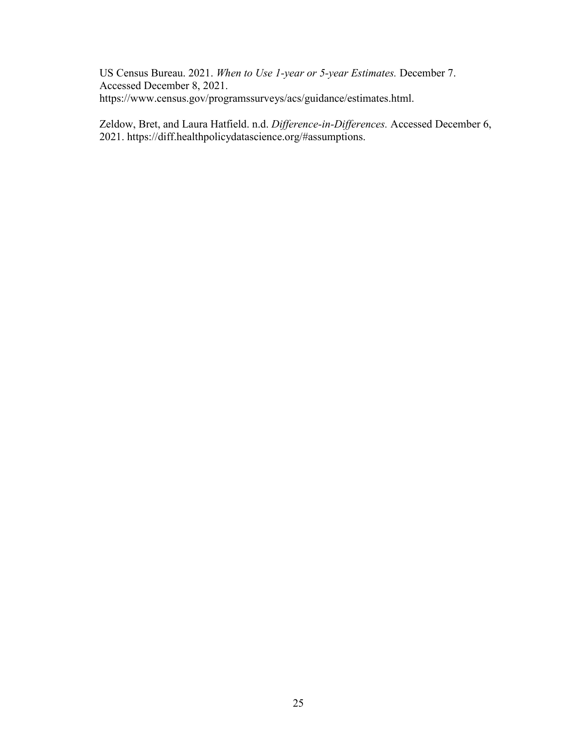US Census Bureau. 2021. *When to Use 1-year or 5-year Estimates.* December 7. Accessed December 8, 2021. https://www.census.gov/programssurveys/acs/guidance/estimates.html.

Zeldow, Bret, and Laura Hatfield. n.d. *Difference-in-Differences.* Accessed December 6, 2021. https://diff.healthpolicydatascience.org/#assumptions.